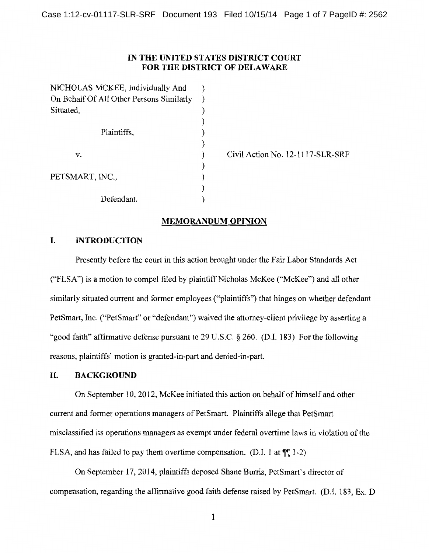# **IN THE UNITED STATES DISTRICT COURT FOR THE DISTRICT OF DELA WARE**

| NICHOLAS MCKEE, Individually And         |  |
|------------------------------------------|--|
| On Behalf Of All Other Persons Similarly |  |
| Situated,                                |  |
|                                          |  |
| Plaintiffs,                              |  |
|                                          |  |
| v.                                       |  |
|                                          |  |
| PETSMART, INC.,                          |  |
|                                          |  |
| Defendant.                               |  |

Civil Action No. 12-1117-SLR-SRF

# **MEMORANDUM OPINION**

# **I. INTRODUCTION**

Presently before the court in this action brought under the Fair Labor Standards Act ("FLSA") is a motion to compel filed by plaintiff Nicholas McKee ("McKee") and all other similarly situated current and former employees ("plaintiffs") that hinges on whether defendant PetSmart, Inc. ("PetSmart" or "defendant") waived the attorney-client privilege by asserting a "good faith" affirmative defense pursuant to 29 U.S.C. § 260. (D.I. 183) For the following reasons, plaintiffs' motion is granted-in-part and denied-in-part.

### **II. BACKGROUND**

On September 10, 2012, McKee initiated this action on behalf of himself and other current and former operations managers of PetSmart. Plaintiffs allege that PetSmart misclassified its operations managers as exempt under federal overtime laws in violation of the FLSA, and has failed to pay them overtime compensation. (D.I. 1 at  $\P$ [1-2)

On September 17, 2014, plaintiffs deposed Shane Burris, PetSmart's director of compensation, regarding the affirmative good faith defense raised by PetSmart. (D.I. 183, Ex. D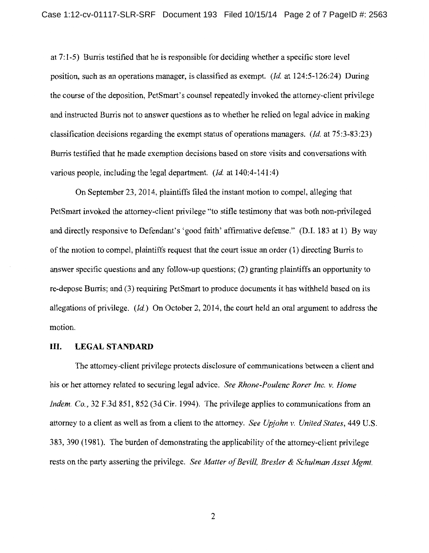at 7:1-5) Burris testified that he is responsible for deciding whether a specific store level position, such as an operations manager, is classified as exempt. *(Id* at 124:5-126:24) During the course of the deposition, PetSmart' s counsel repeatedly invoked the attorney-client privilege and instructed Burris not to answer questions as to whether he relied on legal advice in making classification decisions regarding the exempt status of operations managers. *(Id* at 75:3-83:23) Burris testified that he made exemption decisions based on store visits and conversations with various people, including the legal department. *(Id* at 140:4-141:4)

On September 23, 2014, plaintiffs filed the instant motion to compel, alleging that PetSmart invoked the attorney-client privilege "to stifle testimony that was both non-privileged and directly responsive to Defendant's 'good faith' affirmative defense." (D.I. 183 at 1) By way of the motion to compel, plaintiffs request that the court issue an order (1) directing Burris to answer specific questions and any follow-up questions; (2) granting plaintiffs an opportunity to re-depose Burris; and (3) requiring PetSmart to produce documents it has withheld based on its allegations of privilege. *(Id)* On October 2, 2014, the court held an oral argument to address the motion.

#### III. **LEGAL STANDARD**

The attorney-client privilege protects disclosure of communications between a client and his or her attorney related to securing legal advice. *See Rhone-Poulenc Rorer Inc. v. Home Indem. Co.*, 32 F.3d 851, 852 (3d Cir. 1994). The privilege applies to communications from an attorney to a client as well as from a client to the attorney. *See Upjohn v. United States,* 449 U.S. 383, 390 (1981). The burden of demonstrating the applicability of the attorney-client privilege rests on the party asserting the privilege. *See Matter of Bevill, Bresler* & *Schulman Asset Mgmt.*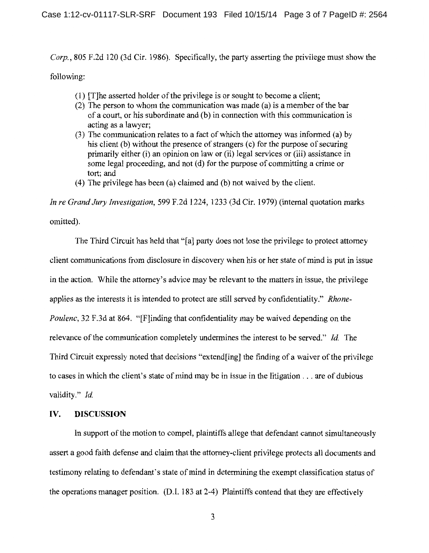*Corp.*, 805 F.2d 120 (3d Cir. 1986). Specifically, the party asserting the privilege must show the following:

- (1) [T]he asserted holder of the privilege is or sought to become a client;
- (2) The person to whom the communication was made (a) is a member of the bar of a court, or his subordinate and (b) in connection with this communication is acting as a lawyer;
- (3) The communication relates to a fact of which the attorney was informed (a) by his client (b) without the presence of strangers  $(c)$  for the purpose of securing primarily either (i) an opinion on law or (ii) legal services or (iii) assistance in some legal proceeding, and not (d) for the purpose of committing a crime or tort; and
- (4) The privilege has been (a) claimed and (b) not waived by the client.

*In re Grand Jury Investigation,* 599 F .2d 1224, 1233 (3d Cir. 1979) (internal quotation marks omitted).

The Third Circuit has held that "[a] party does not lose the privilege to protect attorney client communications from disclosure in discovery when his or her state of mind is put in issue in the action. While the attorney's advice may be relevant to the matters in issue, the privilege applies as the interests it is intended to protect are still served by confidentiality." *Rhone-Poulenc,* 32 F.3d at 864. "[F]inding that confidentiality may be waived depending on the relevance of the communication completely undermines the interest to be served." *Id.* The Third Circuit expressly noted that decisions "extend[ing] the finding of a waiver of the privilege to cases in which the client's state of mind may be in issue in the litigation ... are of dubious validity." *Id.* 

### IV. **DISCUSSION**

In support of the motion to compel, plaintiffs allege that defendant cannot simultaneously assert a good faith defense and claim that the attorney-client privilege protects all documents and testimony relating to defendant's state of mind in determining the exempt classification status of the operations manager position. (D.I. 183 at 2-4) Plaintiffs contend that they are effectively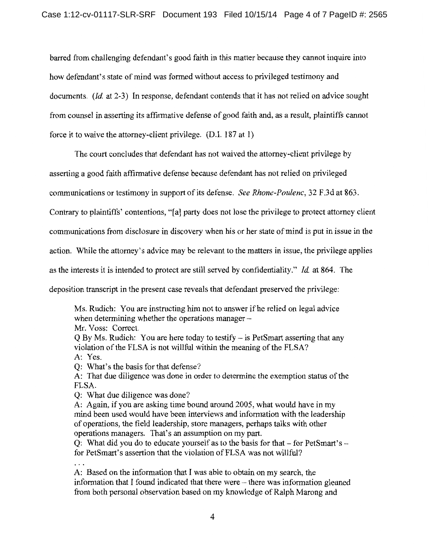barred from challenging defendant's good faith in this matter because they cannot inquire into how defendant's state of mind was formed without access to privileged testimony and documents. *(Id.* at 2-3) In response, defendant contends that it has not relied on advice sought from counsel in asserting its affirmative defense of good faith and, as a result, plaintiffs cannot force it to waive the attorney-client privilege. (D.I. 187 at 1)

The court concludes that defendant has not waived the attorney-client privilege by

asserting a good faith affirmative defense because defendant has not relied on privileged

communications or testimony in support of its defense. *See Rhone-Poulenc,* 32 F.3d at 863.

Contrary to plaintiffs' contentions, "[a] party does not lose the privilege to protect attorney client

communications from disclosure in discovery when his or her state of mind is put in issue in the

action. While the attorney's advice may be relevant to the matters in issue, the privilege applies

as the interests it is intended to protect are still served by confidentiality." *Id* at 864. The

deposition transcript in the present case reveals that defendant preserved the privilege:

Ms. Rudich: You are instructing him not to answer if he relied on legal advice when determining whether the operations manager  $-$ 

Mr. Voss: Correct.

Q By Ms. Rudich: You are here today to testify - is PetSmart asserting that any violation of the FLSA is not willful within the meaning of the FLSA? A: Yes.

Q: What's the basis for that defense?

A: That due diligence was done in order to determine the exemption status of the FLSA.

Q: What due diligence was done?

A: Again, if you are asking time bound around 2005, what would have in my mind been used would have been interviews and information with the leadership of operations, the field leadership, store managers, perhaps talks with other operations managers. That's an assumption on my part.

Q: What did you do to educate yourself as to the basis for that  $-$  for PetSmart's  $$ for PetSmart's assertion that the violation of FLSA was not willful?

A: Based on the information that I was able to obtain on my search, the information that I found indicated that there were – there was information gleaned from both personal observation based on my knowledge of Ralph Marong and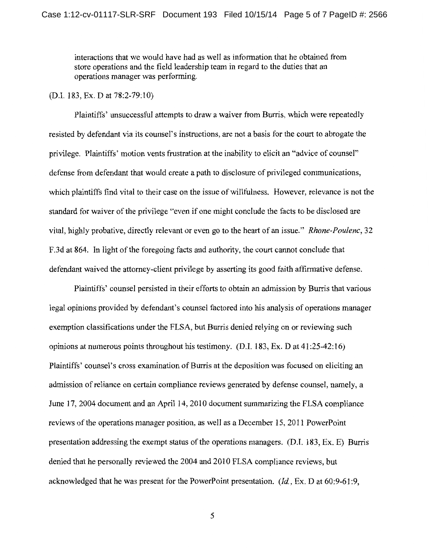interactions that we would have had as well as information that he obtained from store operations and the field leadership team in regard to the duties that an operations manager was performing.

## (D.I. 183, Ex. D at 78:2-79:10)

Plaintiffs' unsuccessful attempts to draw a waiver from Burris, which were repeatedly resisted by defendant via its counsel's instructions, are not a basis for the court to abrogate the privilege. Plaintiffs' motion vents frustration at the inability to elicit an "advice of counsel" defense from defendant that would create a path to disclosure of privileged communications, which plaintiffs find vital to their case on the issue of willfulness. However, relevance is not the standard for waiver of the privilege "even if one might conclude the facts to be disclosed are vital, highly probative, directly relevant or even go to the heart of an issue." *Rhone-Poulenc,* 32 F.3d at 864. In light of the foregoing facts and authority, the court cannot conclude that defendant waived the attorney-client privilege by asserting its good faith affirmative defense.

Plaintiffs' counsel persisted in their efforts to obtain an admission by Burris that various legal opinions provided by defendant's counsel factored into his analysis of operations manager exemption classifications under the FLSA, but Burris denied relying on or reviewing such opinions at numerous points throughout his testimony. (D.I. 183, Ex. D at 41 :25-42:16) Plaintiffs' counsel's cross examination of Burris at the deposition was focused on eliciting an admission of reliance on certain compliance reviews generated by defense counsel, namely, a June 17, 2004 document and an April 14, 2010 document summarizing the FLSA compliance reviews of the operations manager position, as well as a December 15, 2011 PowerPoint presentation addressing the exempt status of the operations managers. (D.I. 183, Ex. E) Burris denied that he personally reviewed the 2004 and 2010 FLSA compliance reviews, but acknowledged that he was present for the PowerPoint presentation. *(Id,* Ex. D at 60:9-61 :9,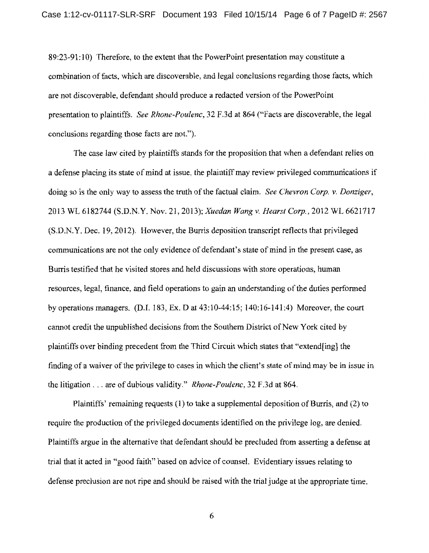89:23-91: 10) Therefore, to the extent that the PowerPoint presentation may constitute a combination of facts, which are discoverable, and legal conclusions regarding those facts, which are not discoverable, defendant should produce a redacted version of the PowerPoint presentation to plaintiffs. *See Rhone-Poulenc,* 32 F.3d at 864 ("Facts are discoverable, the legal conclusions regarding those facts are not.").

The case law cited by plaintiffs stands for the proposition that when a defendant relies on a defense placing its state of mind at issue, the plaintiff may review privileged communications if doing so is the only way to assess the truth of the factual claim. *See Chevron Corp. v. Danziger,*  2013 WL 6182744 (S.D.N.Y. Nov. 21, 2013); *Xuedan Wang v. Hearst Corp.,* 2012 WL 6621717 (S.D.N.Y. Dec. 19, 2012). However, the Burris deposition transcript reflects that privileged communications are not the only evidence of defendant's state of mind in the present case, as Burris testified that he visited stores and held discussions with store operations, human resources, legal, finance, and field operations to gain an understanding of the duties performed by operations managers. (D.I. 183, Ex. D at 43:10-44:15; 140:16-141:4) Moreover, the court cannot credit the unpublished decisions from the Southern District of New York cited by plaintiffs over binding precedent from the Third Circuit which states that "extend[ing] the finding of a waiver of the privilege to cases in which the client's state of mind may be in issue in the litigation ... are of dubious validity." *Rhone-Poulenc,* 32 F.3d at 864.

Plaintiffs' remaining requests (1) to take a supplemental deposition of Burris, and (2) to require the production of the privileged documents identified on the privilege log, are denied. Plaintiffs argue in the alternative that defendant should be precluded from asserting a defense at trial that it acted in "good faith" based on advice of counsel. Evidentiary issues relating to defense preclusion are not ripe and should be raised with the trial judge at the appropriate time.